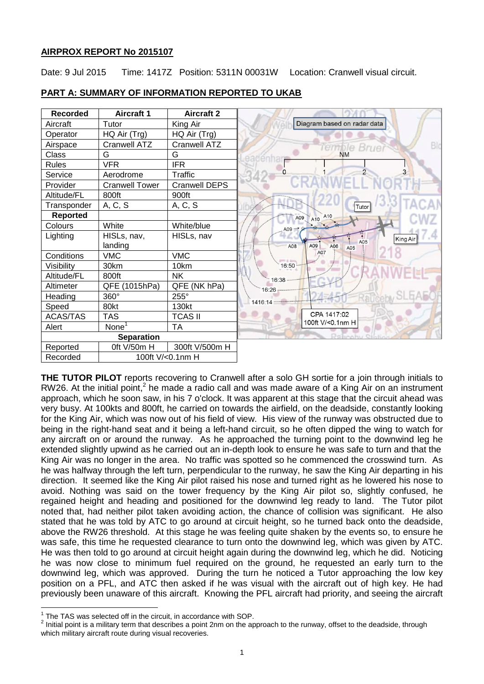# **AIRPROX REPORT No 2015107**

Date: 9 Jul 2015 Time: 1417Z Position: 5311N 00031W Location: Cranwell visual circuit.



# **PART A: SUMMARY OF INFORMATION REPORTED TO UKAB**

**THE TUTOR PILOT** reports recovering to Cranwell after a solo GH sortie for a join through initials to RW26. At the initial point,<sup>2</sup> he made a radio call and was made aware of a King Air on an instrument approach, which he soon saw, in his 7 o'clock. It was apparent at this stage that the circuit ahead was very busy. At 100kts and 800ft, he carried on towards the airfield, on the deadside, constantly looking for the King Air, which was now out of his field of view. His view of the runway was obstructed due to being in the right-hand seat and it being a left-hand circuit, so he often dipped the wing to watch for any aircraft on or around the runway. As he approached the turning point to the downwind leg he extended slightly upwind as he carried out an in-depth look to ensure he was safe to turn and that the King Air was no longer in the area. No traffic was spotted so he commenced the crosswind turn. As he was halfway through the left turn, perpendicular to the runway, he saw the King Air departing in his direction. It seemed like the King Air pilot raised his nose and turned right as he lowered his nose to avoid. Nothing was said on the tower frequency by the King Air pilot so, slightly confused, he regained height and heading and positioned for the downwind leg ready to land. The Tutor pilot noted that, had neither pilot taken avoiding action, the chance of collision was significant. He also stated that he was told by ATC to go around at circuit height, so he turned back onto the deadside, above the RW26 threshold. At this stage he was feeling quite shaken by the events so, to ensure he was safe, this time he requested clearance to turn onto the downwind leg, which was given by ATC. He was then told to go around at circuit height again during the downwind leg, which he did. Noticing he was now close to minimum fuel required on the ground, he requested an early turn to the downwind leg, which was approved. During the turn he noticed a Tutor approaching the low key position on a PFL, and ATC then asked if he was visual with the aircraft out of high key. He had previously been unaware of this aircraft. Knowing the PFL aircraft had priority, and seeing the aircraft

The TAS was selected off in the circuit, in accordance with SOP.

 $^2$  Initial point is a military term that describes a point 2nm on the approach to the runway, offset to the deadside, through which military aircraft route during visual recoveries.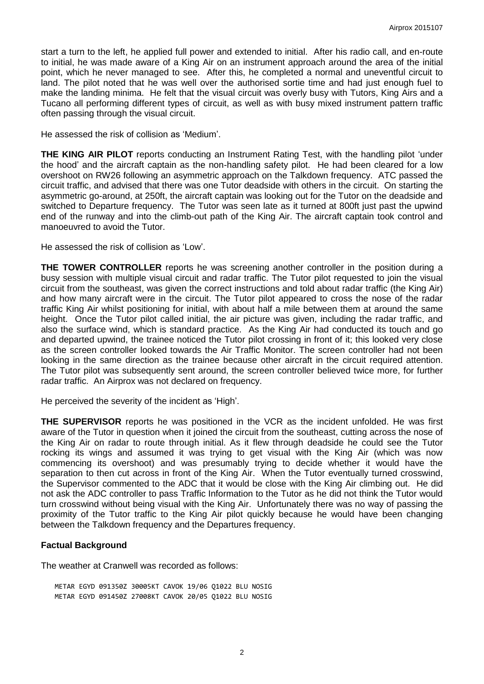start a turn to the left, he applied full power and extended to initial. After his radio call, and en-route to initial, he was made aware of a King Air on an instrument approach around the area of the initial point, which he never managed to see. After this, he completed a normal and uneventful circuit to land. The pilot noted that he was well over the authorised sortie time and had just enough fuel to make the landing minima. He felt that the visual circuit was overly busy with Tutors, King Airs and a Tucano all performing different types of circuit, as well as with busy mixed instrument pattern traffic often passing through the visual circuit.

He assessed the risk of collision as 'Medium'.

**THE KING AIR PILOT** reports conducting an Instrument Rating Test, with the handling pilot 'under the hood' and the aircraft captain as the non-handling safety pilot. He had been cleared for a low overshoot on RW26 following an asymmetric approach on the Talkdown frequency. ATC passed the circuit traffic, and advised that there was one Tutor deadside with others in the circuit. On starting the asymmetric go-around, at 250ft, the aircraft captain was looking out for the Tutor on the deadside and switched to Departure frequency. The Tutor was seen late as it turned at 800ft just past the upwind end of the runway and into the climb-out path of the King Air. The aircraft captain took control and manoeuvred to avoid the Tutor.

He assessed the risk of collision as 'Low'.

**THE TOWER CONTROLLER** reports he was screening another controller in the position during a busy session with multiple visual circuit and radar traffic. The Tutor pilot requested to join the visual circuit from the southeast, was given the correct instructions and told about radar traffic (the King Air) and how many aircraft were in the circuit. The Tutor pilot appeared to cross the nose of the radar traffic King Air whilst positioning for initial, with about half a mile between them at around the same height. Once the Tutor pilot called initial, the air picture was given, including the radar traffic, and also the surface wind, which is standard practice. As the King Air had conducted its touch and go and departed upwind, the trainee noticed the Tutor pilot crossing in front of it; this looked very close as the screen controller looked towards the Air Traffic Monitor. The screen controller had not been looking in the same direction as the trainee because other aircraft in the circuit required attention. The Tutor pilot was subsequently sent around, the screen controller believed twice more, for further radar traffic. An Airprox was not declared on frequency.

He perceived the severity of the incident as 'High'.

**THE SUPERVISOR** reports he was positioned in the VCR as the incident unfolded. He was first aware of the Tutor in question when it joined the circuit from the southeast, cutting across the nose of the King Air on radar to route through initial. As it flew through deadside he could see the Tutor rocking its wings and assumed it was trying to get visual with the King Air (which was now commencing its overshoot) and was presumably trying to decide whether it would have the separation to then cut across in front of the King Air. When the Tutor eventually turned crosswind, the Supervisor commented to the ADC that it would be close with the King Air climbing out. He did not ask the ADC controller to pass Traffic Information to the Tutor as he did not think the Tutor would turn crosswind without being visual with the King Air. Unfortunately there was no way of passing the proximity of the Tutor traffic to the King Air pilot quickly because he would have been changing between the Talkdown frequency and the Departures frequency.

### **Factual Background**

The weather at Cranwell was recorded as follows:

METAR EGYD 091350Z 30005KT CAVOK 19/06 Q1022 BLU NOSIG METAR EGYD 091450Z 27008KT CAVOK 20/05 Q1022 BLU NOSIG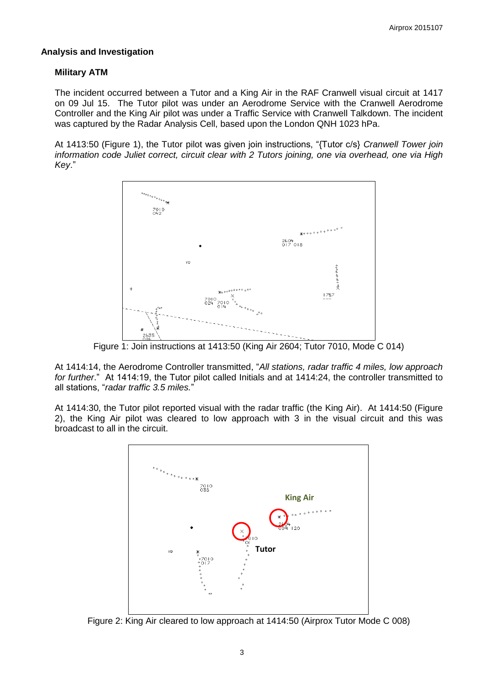### **Analysis and Investigation**

### **Military ATM**

The incident occurred between a Tutor and a King Air in the RAF Cranwell visual circuit at 1417 on 09 Jul 15. The Tutor pilot was under an Aerodrome Service with the Cranwell Aerodrome Controller and the King Air pilot was under a Traffic Service with Cranwell Talkdown. The incident was captured by the Radar Analysis Cell, based upon the London QNH 1023 hPa.

At 1413:50 (Figure 1), the Tutor pilot was given join instructions, "{Tutor c/s} *Cranwell Tower join information code Juliet correct, circuit clear with 2 Tutors joining, one via overhead, one via High Key*."



Figure 1: Join instructions at 1413:50 (King Air 2604; Tutor 7010, Mode C 014)

At 1414:14, the Aerodrome Controller transmitted, "*All stations, radar traffic 4 miles, low approach for further*." At 1414:19, the Tutor pilot called Initials and at 1414:24, the controller transmitted to all stations, "*radar traffic 3.5 miles.*"

At 1414:30, the Tutor pilot reported visual with the radar traffic (the King Air). At 1414:50 (Figure 2), the King Air pilot was cleared to low approach with 3 in the visual circuit and this was broadcast to all in the circuit.



Figure 2: King Air cleared to low approach at 1414:50 (Airprox Tutor Mode C 008)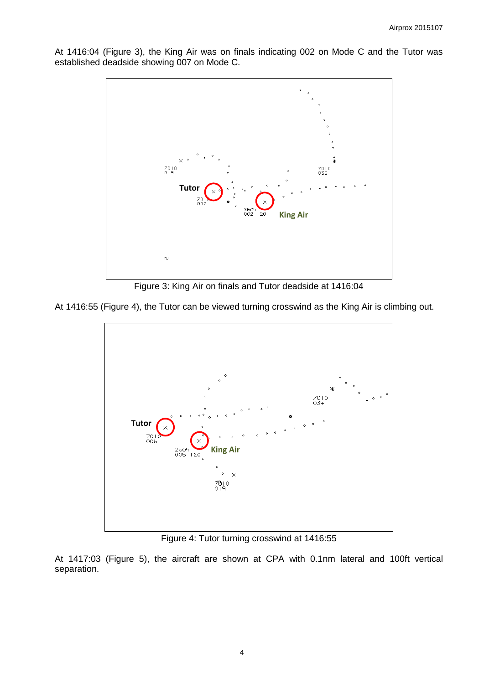At 1416:04 (Figure 3), the King Air was on finals indicating 002 on Mode C and the Tutor was established deadside showing 007 on Mode C.



Figure 3: King Air on finals and Tutor deadside at 1416:04

At 1416:55 (Figure 4), the Tutor can be viewed turning crosswind as the King Air is climbing out.



Figure 4: Tutor turning crosswind at 1416:55

At 1417:03 (Figure 5), the aircraft are shown at CPA with 0.1nm lateral and 100ft vertical separation.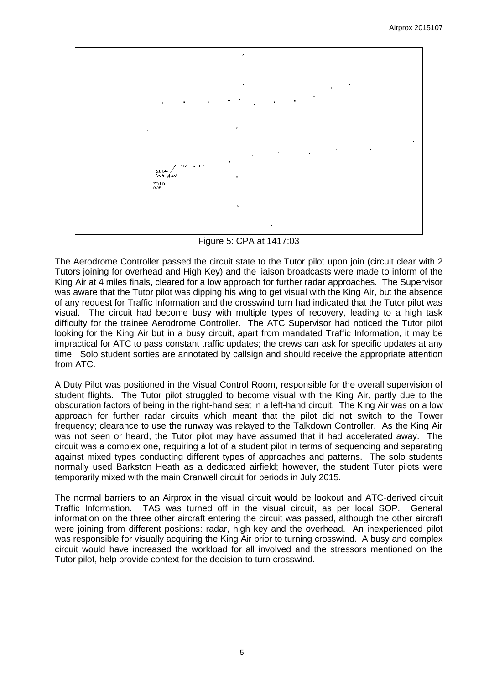$^{260}_{006}$ శ20  $7010$ 

Figure 5: CPA at 1417:03

The Aerodrome Controller passed the circuit state to the Tutor pilot upon join (circuit clear with 2 Tutors joining for overhead and High Key) and the liaison broadcasts were made to inform of the King Air at 4 miles finals, cleared for a low approach for further radar approaches. The Supervisor was aware that the Tutor pilot was dipping his wing to get visual with the King Air, but the absence of any request for Traffic Information and the crosswind turn had indicated that the Tutor pilot was visual. The circuit had become busy with multiple types of recovery, leading to a high task difficulty for the trainee Aerodrome Controller. The ATC Supervisor had noticed the Tutor pilot looking for the King Air but in a busy circuit, apart from mandated Traffic Information, it may be impractical for ATC to pass constant traffic updates; the crews can ask for specific updates at any time. Solo student sorties are annotated by callsign and should receive the appropriate attention from ATC.

A Duty Pilot was positioned in the Visual Control Room, responsible for the overall supervision of student flights. The Tutor pilot struggled to become visual with the King Air, partly due to the obscuration factors of being in the right-hand seat in a left-hand circuit. The King Air was on a low approach for further radar circuits which meant that the pilot did not switch to the Tower frequency; clearance to use the runway was relayed to the Talkdown Controller. As the King Air was not seen or heard, the Tutor pilot may have assumed that it had accelerated away. The circuit was a complex one, requiring a lot of a student pilot in terms of sequencing and separating against mixed types conducting different types of approaches and patterns. The solo students normally used Barkston Heath as a dedicated airfield; however, the student Tutor pilots were temporarily mixed with the main Cranwell circuit for periods in July 2015.

The normal barriers to an Airprox in the visual circuit would be lookout and ATC-derived circuit Traffic Information. TAS was turned off in the visual circuit, as per local SOP. General information on the three other aircraft entering the circuit was passed, although the other aircraft were joining from different positions: radar, high key and the overhead. An inexperienced pilot was responsible for visually acquiring the King Air prior to turning crosswind. A busy and complex circuit would have increased the workload for all involved and the stressors mentioned on the Tutor pilot, help provide context for the decision to turn crosswind.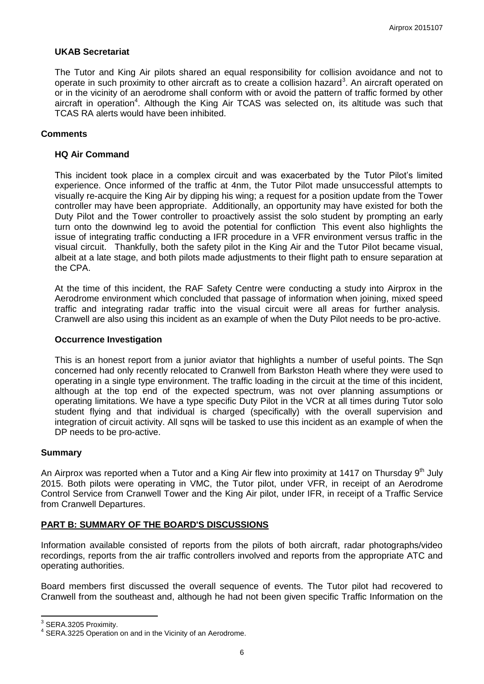### **UKAB Secretariat**

The Tutor and King Air pilots shared an equal responsibility for collision avoidance and not to operate in such proximity to other aircraft as to create a collision hazard<sup>3</sup>. An aircraft operated on or in the vicinity of an aerodrome shall conform with or avoid the pattern of traffic formed by other aircraft in operation<sup>4</sup>. Although the King Air TCAS was selected on, its altitude was such that TCAS RA alerts would have been inhibited.

### **Comments**

### **HQ Air Command**

This incident took place in a complex circuit and was exacerbated by the Tutor Pilot's limited experience. Once informed of the traffic at 4nm, the Tutor Pilot made unsuccessful attempts to visually re-acquire the King Air by dipping his wing; a request for a position update from the Tower controller may have been appropriate. Additionally, an opportunity may have existed for both the Duty Pilot and the Tower controller to proactively assist the solo student by prompting an early turn onto the downwind leg to avoid the potential for confliction This event also highlights the issue of integrating traffic conducting a IFR procedure in a VFR environment versus traffic in the visual circuit. Thankfully, both the safety pilot in the King Air and the Tutor Pilot became visual, albeit at a late stage, and both pilots made adjustments to their flight path to ensure separation at the CPA.

At the time of this incident, the RAF Safety Centre were conducting a study into Airprox in the Aerodrome environment which concluded that passage of information when joining, mixed speed traffic and integrating radar traffic into the visual circuit were all areas for further analysis. Cranwell are also using this incident as an example of when the Duty Pilot needs to be pro-active.

### **Occurrence Investigation**

This is an honest report from a junior aviator that highlights a number of useful points. The Sqn concerned had only recently relocated to Cranwell from Barkston Heath where they were used to operating in a single type environment. The traffic loading in the circuit at the time of this incident, although at the top end of the expected spectrum, was not over planning assumptions or operating limitations. We have a type specific Duty Pilot in the VCR at all times during Tutor solo student flying and that individual is charged (specifically) with the overall supervision and integration of circuit activity. All sqns will be tasked to use this incident as an example of when the DP needs to be pro-active.

### **Summary**

An Airprox was reported when a Tutor and a King Air flew into proximity at 1417 on Thursday  $9<sup>th</sup>$  July 2015. Both pilots were operating in VMC, the Tutor pilot, under VFR, in receipt of an Aerodrome Control Service from Cranwell Tower and the King Air pilot, under IFR, in receipt of a Traffic Service from Cranwell Departures.

### **PART B: SUMMARY OF THE BOARD'S DISCUSSIONS**

Information available consisted of reports from the pilots of both aircraft, radar photographs/video recordings, reports from the air traffic controllers involved and reports from the appropriate ATC and operating authorities.

Board members first discussed the overall sequence of events. The Tutor pilot had recovered to Cranwell from the southeast and, although he had not been given specific Traffic Information on the

 3 SERA.3205 Proximity.

<sup>&</sup>lt;sup>4</sup> SERA.3225 Operation on and in the Vicinity of an Aerodrome.